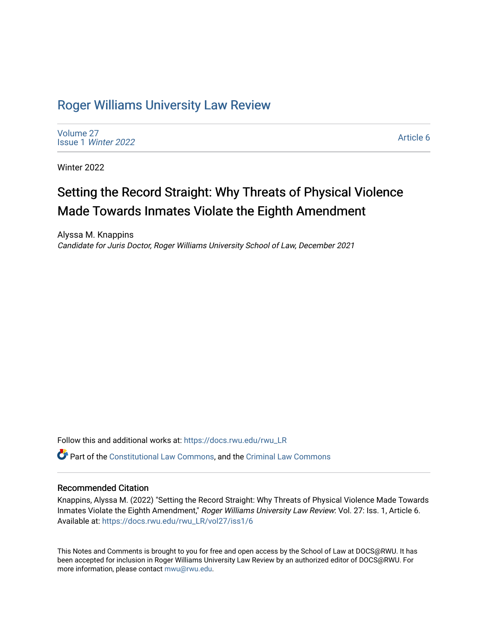## [Roger Williams University Law Review](https://docs.rwu.edu/rwu_LR)

[Volume 27](https://docs.rwu.edu/rwu_LR/vol27) Issue 1 [Winter 2022](https://docs.rwu.edu/rwu_LR/vol27/iss1) 

[Article 6](https://docs.rwu.edu/rwu_LR/vol27/iss1/6) 

Winter 2022

# Setting the Record Straight: Why Threats of Physical Violence Made Towards Inmates Violate the Eighth Amendment

Alyssa M. Knappins Candidate for Juris Doctor, Roger Williams University School of Law, December 2021

Follow this and additional works at: [https://docs.rwu.edu/rwu\\_LR](https://docs.rwu.edu/rwu_LR?utm_source=docs.rwu.edu%2Frwu_LR%2Fvol27%2Fiss1%2F6&utm_medium=PDF&utm_campaign=PDFCoverPages) 

Part of the [Constitutional Law Commons,](http://network.bepress.com/hgg/discipline/589?utm_source=docs.rwu.edu%2Frwu_LR%2Fvol27%2Fiss1%2F6&utm_medium=PDF&utm_campaign=PDFCoverPages) and the [Criminal Law Commons](http://network.bepress.com/hgg/discipline/912?utm_source=docs.rwu.edu%2Frwu_LR%2Fvol27%2Fiss1%2F6&utm_medium=PDF&utm_campaign=PDFCoverPages)

## Recommended Citation

Knappins, Alyssa M. (2022) "Setting the Record Straight: Why Threats of Physical Violence Made Towards Inmates Violate the Eighth Amendment," Roger Williams University Law Review: Vol. 27: Iss. 1, Article 6. Available at: [https://docs.rwu.edu/rwu\\_LR/vol27/iss1/6](https://docs.rwu.edu/rwu_LR/vol27/iss1/6?utm_source=docs.rwu.edu%2Frwu_LR%2Fvol27%2Fiss1%2F6&utm_medium=PDF&utm_campaign=PDFCoverPages) 

This Notes and Comments is brought to you for free and open access by the School of Law at DOCS@RWU. It has been accepted for inclusion in Roger Williams University Law Review by an authorized editor of DOCS@RWU. For more information, please contact [mwu@rwu.edu](mailto:mwu@rwu.edu).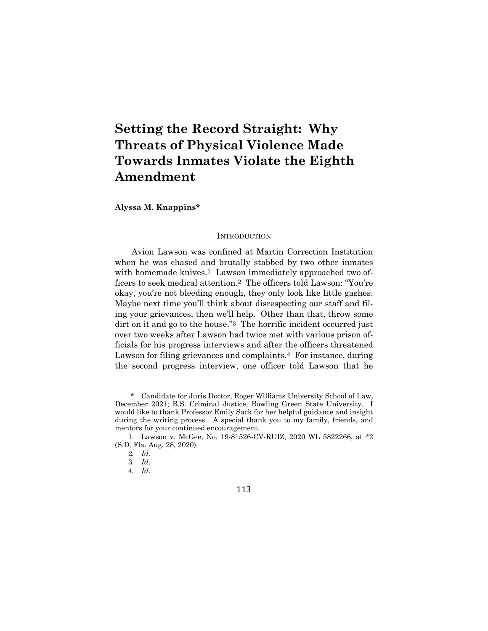## **Setting the Record Straight: Why Threats of Physical Violence Made Towards Inmates Violate the Eighth Amendment**

**Alyssa M. Knappins\***

#### **INTRODUCTION**

Avion Lawson was confined at Martin Correction Institution when he was chased and brutally stabbed by two other inmates with homemade knives.<sup>1</sup> Lawson immediately approached two officers to seek medical attention.2 The officers told Lawson: "You're okay, you're not bleeding enough, they only look like little gashes. Maybe next time you'll think about disrespecting our staff and filing your grievances, then we'll help. Other than that, throw some dirt on it and go to the house."3 The horrific incident occurred just over two weeks after Lawson had twice met with various prison officials for his progress interviews and after the officers threatened Lawson for filing grievances and complaints.<sup>4</sup> For instance, during the second progress interview, one officer told Lawson that he

Candidate for Juris Doctor, Roger Williams University School of Law, December 2021; B.S. Criminal Justice, Bowling Green State University. I would like to thank Professor Emily Sack for her helpful guidance and insight during the writing process. A special thank you to my family, friends, and mentors for your continued encouragement.

<sup>1.</sup> Lawson v. McGee, No. 19-81526-CV-RUIZ, 2020 WL 5822266, at \*2 (S.D. Fla. Aug. 28, 2020).

<sup>2</sup>*. Id.*

<sup>3</sup>*. Id.*

<sup>4</sup>*. Id*.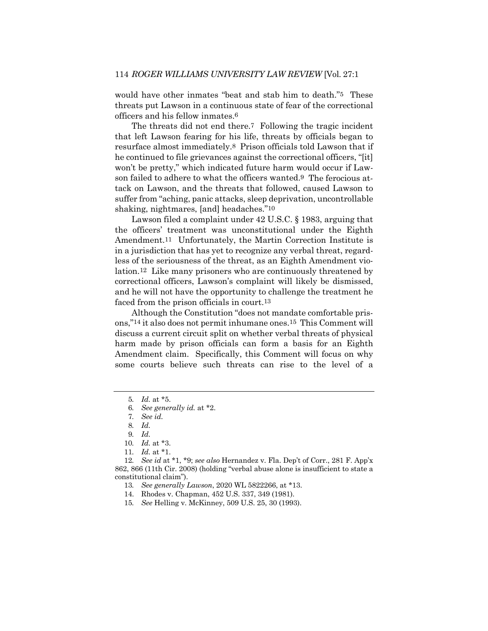would have other inmates "beat and stab him to death."5 These threats put Lawson in a continuous state of fear of the correctional officers and his fellow inmates.6

The threats did not end there.7 Following the tragic incident that left Lawson fearing for his life, threats by officials began to resurface almost immediately.8 Prison officials told Lawson that if he continued to file grievances against the correctional officers, "[it] won't be pretty," which indicated future harm would occur if Lawson failed to adhere to what the officers wanted.9 The ferocious attack on Lawson, and the threats that followed, caused Lawson to suffer from "aching, panic attacks, sleep deprivation, uncontrollable shaking, nightmares, [and] headaches."10

Lawson filed a complaint under 42 U.S.C. § 1983, arguing that the officers' treatment was unconstitutional under the Eighth Amendment.<sup>11</sup> Unfortunately, the Martin Correction Institute is in a jurisdiction that has yet to recognize any verbal threat, regardless of the seriousness of the threat, as an Eighth Amendment violation.12 Like many prisoners who are continuously threatened by correctional officers, Lawson's complaint will likely be dismissed, and he will not have the opportunity to challenge the treatment he faced from the prison officials in court.13

Although the Constitution "does not mandate comfortable prisons,"14 it also does not permit inhumane ones.15 This Comment will discuss a current circuit split on whether verbal threats of physical harm made by prison officials can form a basis for an Eighth Amendment claim. Specifically, this Comment will focus on why some courts believe such threats can rise to the level of a

<sup>5</sup>*. Id.* at \*5.

<sup>6</sup>*. See generally id.* at \*2.

<sup>7</sup>*. See id.*

<sup>8</sup>*. Id.*

<sup>9</sup>*. Id.*

<sup>10</sup>*. Id.* at \*3.

<sup>11</sup>*. Id.* at \*1.

<sup>12</sup>*. See id* at \*1, \*9; *see also* Hernandez v. Fla. Dep't of Corr., 281 F. App'x 862, 866 (11th Cir. 2008) (holding "verbal abuse alone is insufficient to state a constitutional claim").

<sup>13</sup>*. See generally Lawson*, 2020 WL 5822266, at \*13.

<sup>14.</sup> Rhodes v. Chapman, 452 U.S. 337, 349 (1981).

<sup>15</sup>*. See* Helling v. McKinney, 509 U.S. 25, 30 (1993).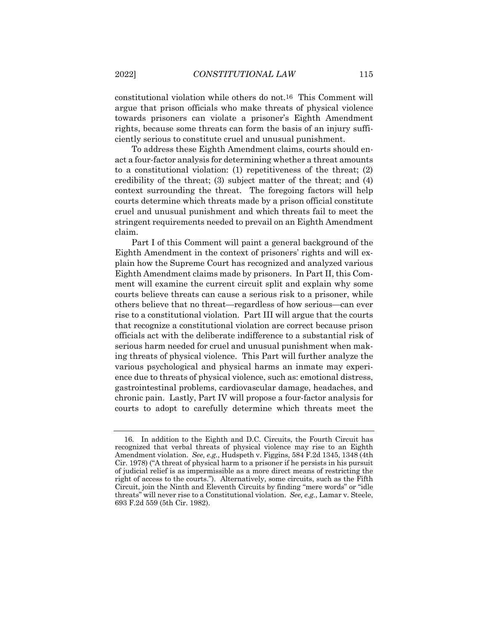constitutional violation while others do not.16 This Comment will argue that prison officials who make threats of physical violence towards prisoners can violate a prisoner's Eighth Amendment rights, because some threats can form the basis of an injury sufficiently serious to constitute cruel and unusual punishment.

To address these Eighth Amendment claims, courts should enact a four-factor analysis for determining whether a threat amounts to a constitutional violation: (1) repetitiveness of the threat; (2) credibility of the threat; (3) subject matter of the threat; and (4) context surrounding the threat. The foregoing factors will help courts determine which threats made by a prison official constitute cruel and unusual punishment and which threats fail to meet the stringent requirements needed to prevail on an Eighth Amendment claim.

Part I of this Comment will paint a general background of the Eighth Amendment in the context of prisoners' rights and will explain how the Supreme Court has recognized and analyzed various Eighth Amendment claims made by prisoners. In Part II, this Comment will examine the current circuit split and explain why some courts believe threats can cause a serious risk to a prisoner, while others believe that no threat—regardless of how serious—can ever rise to a constitutional violation. Part III will argue that the courts that recognize a constitutional violation are correct because prison officials act with the deliberate indifference to a substantial risk of serious harm needed for cruel and unusual punishment when making threats of physical violence. This Part will further analyze the various psychological and physical harms an inmate may experience due to threats of physical violence, such as: emotional distress, gastrointestinal problems, cardiovascular damage, headaches, and chronic pain. Lastly, Part IV will propose a four-factor analysis for courts to adopt to carefully determine which threats meet the

<sup>16.</sup> In addition to the Eighth and D.C. Circuits, the Fourth Circuit has recognized that verbal threats of physical violence may rise to an Eighth Amendment violation. *See, e.g.*, Hudspeth v. Figgins, 584 F.2d 1345, 1348 (4th Cir. 1978) ("A threat of physical harm to a prisoner if he persists in his pursuit of judicial relief is as impermissible as a more direct means of restricting the right of access to the courts."). Alternatively, some circuits, such as the Fifth Circuit, join the Ninth and Eleventh Circuits by finding "mere words" or "idle threats" will never rise to a Constitutional violation. *See, e.g.*, Lamar v. Steele, 693 F.2d 559 (5th Cir. 1982).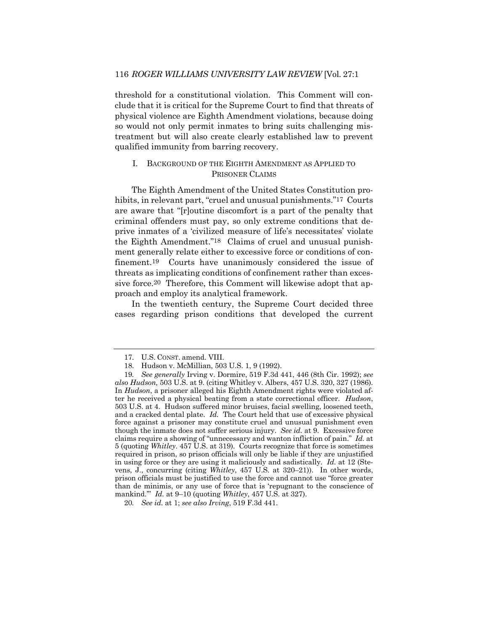threshold for a constitutional violation. This Comment will conclude that it is critical for the Supreme Court to find that threats of physical violence are Eighth Amendment violations, because doing so would not only permit inmates to bring suits challenging mistreatment but will also create clearly established law to prevent qualified immunity from barring recovery.

#### I. BACKGROUND OF THE EIGHTH AMENDMENT AS APPLIED TO PRISONER CLAIMS

The Eighth Amendment of the United States Constitution prohibits, in relevant part, "cruel and unusual punishments."17 Courts are aware that "[r]outine discomfort is a part of the penalty that criminal offenders must pay, so only extreme conditions that deprive inmates of a 'civilized measure of life's necessitates' violate the Eighth Amendment."18 Claims of cruel and unusual punishment generally relate either to excessive force or conditions of confinement.19 Courts have unanimously considered the issue of threats as implicating conditions of confinement rather than excessive force.20 Therefore, this Comment will likewise adopt that approach and employ its analytical framework.

In the twentieth century, the Supreme Court decided three cases regarding prison conditions that developed the current

<sup>17.</sup> U.S. CONST. amend. VIII.

<sup>18.</sup> Hudson v. McMillian, 503 U.S. 1, 9 (1992).

<sup>19</sup>*. See generally* Irving v. Dormire, 519 F.3d 441, 446 (8th Cir. 1992); *see also Hudson,* 503 U.S. at 9. (citing Whitley v. Albers, 457 U.S. 320, 327 (1986). In *Hudson*, a prisoner alleged his Eighth Amendment rights were violated after he received a physical beating from a state correctional officer. *Hudson*, 503 U.S. at 4. Hudson suffered minor bruises, facial swelling, loosened teeth, and a cracked dental plate. *Id.* The Court held that use of excessive physical force against a prisoner may constitute cruel and unusual punishment even though the inmate does not suffer serious injury. *See id.* at 9. Excessive force claims require a showing of "unnecessary and wanton infliction of pain." *Id.* at 5 (quoting *Whitley*. 457 U.S. at 319). Courts recognize that force is sometimes required in prison, so prison officials will only be liable if they are unjustified in using force or they are using it maliciously and sadistically. *Id.* at 12 (Stevens, J., concurring (citing *Whitley*, 457 U.S. at 320–21)). In other words, prison officials must be justified to use the force and cannot use "force greater than de minimis, or any use of force that is 'repugnant to the conscience of mankind.'" *Id.* at 9–10 (quoting *Whitley*, 457 U.S. at 327).

<sup>20</sup>*. See id.* at 1; *see also Irving*, 519 F.3d 441.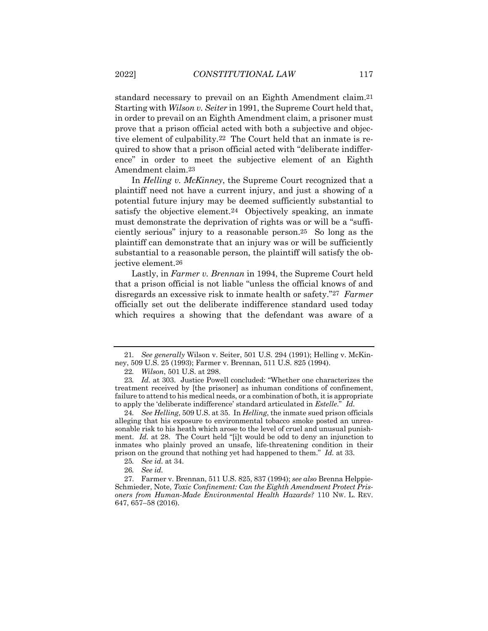standard necessary to prevail on an Eighth Amendment claim.21 Starting with *Wilson v. Seiter* in 1991, the Supreme Court held that, in order to prevail on an Eighth Amendment claim, a prisoner must prove that a prison official acted with both a subjective and objective element of culpability.22 The Court held that an inmate is required to show that a prison official acted with "deliberate indifference" in order to meet the subjective element of an Eighth Amendment claim.23

In *Helling v. McKinney*, the Supreme Court recognized that a plaintiff need not have a current injury, and just a showing of a potential future injury may be deemed sufficiently substantial to satisfy the objective element.24 Objectively speaking, an inmate must demonstrate the deprivation of rights was or will be a "sufficiently serious" injury to a reasonable person.25 So long as the plaintiff can demonstrate that an injury was or will be sufficiently substantial to a reasonable person, the plaintiff will satisfy the objective element.26

Lastly, in *Farmer v. Brennan* in 1994, the Supreme Court held that a prison official is not liable "unless the official knows of and disregards an excessive risk to inmate health or safety."27 *Farmer* officially set out the deliberate indifference standard used today which requires a showing that the defendant was aware of a

<sup>21</sup>*. See generally* Wilson v. Seiter, 501 U.S. 294 (1991); Helling v. McKinney, 509 U.S. 25 (1993); Farmer v. Brennan, 511 U.S. 825 (1994).

<sup>22</sup>*. Wilson*, 501 U.S. at 298.

<sup>23</sup>*. Id.* at 303. Justice Powell concluded: "Whether one characterizes the treatment received by [the prisoner] as inhuman conditions of confinement, failure to attend to his medical needs, or a combination of both, it is appropriate to apply the 'deliberate indifference' standard articulated in *Estelle*." *Id.*

<sup>24</sup>*. See Helling*, 509 U.S. at 35. In *Helling*, the inmate sued prison officials alleging that his exposure to environmental tobacco smoke posted an unreasonable risk to his heath which arose to the level of cruel and unusual punishment. *Id.* at 28. The Court held "[i]t would be odd to deny an injunction to inmates who plainly proved an unsafe, life-threatening condition in their prison on the ground that nothing yet had happened to them." *Id.* at 33.

<sup>25</sup>*. See id.* at 34.

<sup>26</sup>*. See id.*

<sup>27.</sup> Farmer v. Brennan, 511 U.S. 825, 837 (1994); *see also* Brenna Helppie-Schmieder, Note, *Toxic Confinement: Can the Eighth Amendment Protect Prisoners from Human-Made Environmental Health Hazards?* 110 NW. L. REV. 647, 657–58 (2016).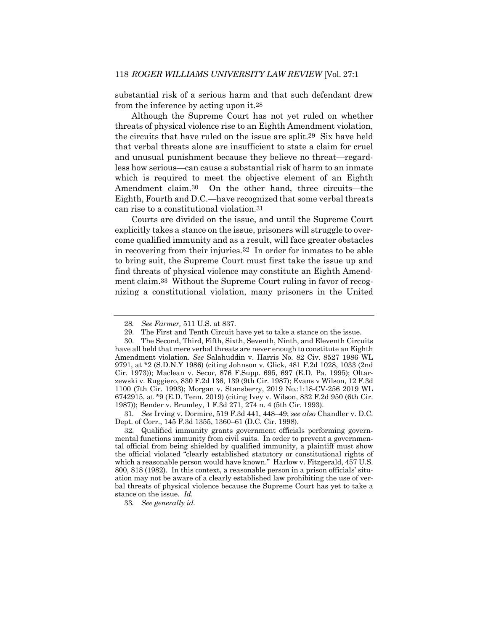substantial risk of a serious harm and that such defendant drew from the inference by acting upon it.28

Although the Supreme Court has not yet ruled on whether threats of physical violence rise to an Eighth Amendment violation, the circuits that have ruled on the issue are split.29 Six have held that verbal threats alone are insufficient to state a claim for cruel and unusual punishment because they believe no threat—regardless how serious—can cause a substantial risk of harm to an inmate which is required to meet the objective element of an Eighth Amendment claim.30 On the other hand, three circuits—the Eighth, Fourth and D.C.—have recognized that some verbal threats can rise to a constitutional violation.31

Courts are divided on the issue, and until the Supreme Court explicitly takes a stance on the issue, prisoners will struggle to overcome qualified immunity and as a result, will face greater obstacles in recovering from their injuries.32 In order for inmates to be able to bring suit, the Supreme Court must first take the issue up and find threats of physical violence may constitute an Eighth Amendment claim.33 Without the Supreme Court ruling in favor of recognizing a constitutional violation, many prisoners in the United

31*. See* Irving v. Dormire, 519 F.3d 441, 448–49; *see also* Chandler v. D.C. Dept. of Corr., 145 F.3d 1355, 1360–61 (D.C. Cir. 1998).

32. Qualified immunity grants government officials performing governmental functions immunity from civil suits. In order to prevent a governmental official from being shielded by qualified immunity, a plaintiff must show the official violated "clearly established statutory or constitutional rights of which a reasonable person would have known." Harlow v. Fitzgerald, 457 U.S. 800, 818 (1982). In this context, a reasonable person in a prison officials' situation may not be aware of a clearly established law prohibiting the use of verbal threats of physical violence because the Supreme Court has yet to take a stance on the issue. *Id.*

33*. See generally id.*

<sup>28</sup>*. See Farmer,* 511 U.S. at 837.

<sup>29.</sup> The First and Tenth Circuit have yet to take a stance on the issue.

<sup>30.</sup> The Second, Third, Fifth, Sixth, Seventh, Ninth, and Eleventh Circuits have all held that mere verbal threats are never enough to constitute an Eighth Amendment violation. *See* Salahuddin v. Harris No. 82 Civ. 8527 1986 WL 9791, at \*2 (S.D.N.Y 1986) (citing Johnson v. Glick, 481 F.2d 1028, 1033 (2nd Cir. 1973)); Maclean v. Secor, 876 F.Supp. 695, 697 (E.D. Pa. 1995); Oltarzewski v. Ruggiero, 830 F.2d 136, 139 (9th Cir. 1987); Evans v Wilson, 12 F.3d 1100 (7th Cir. 1993); Morgan v. Stansberry, 2019 No.:1:18-CV-256 2019 WL 6742915, at \*9 (E.D. Tenn. 2019) (citing Ivey v. Wilson, 832 F.2d 950 (6th Cir. 1987)); Bender v. Brumley, 1 F.3d 271, 274 n. 4 (5th Cir. 1993).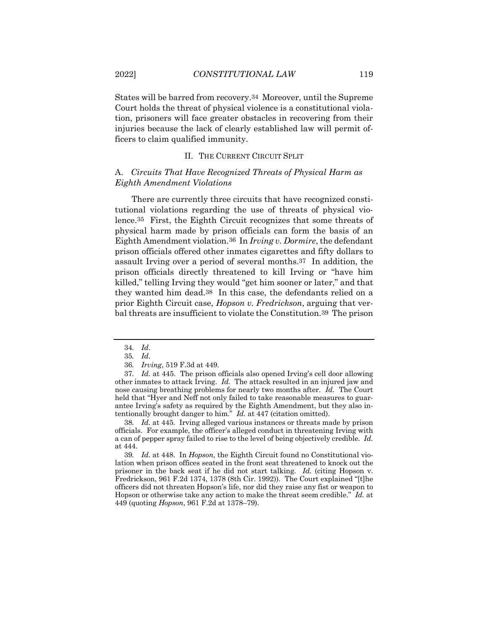States will be barred from recovery.34 Moreover, until the Supreme Court holds the threat of physical violence is a constitutional violation, prisoners will face greater obstacles in recovering from their injuries because the lack of clearly established law will permit officers to claim qualified immunity.

#### II. THE CURRENT CIRCUIT SPLIT

#### A. *Circuits That Have Recognized Threats of Physical Harm as Eighth Amendment Violations*

There are currently three circuits that have recognized constitutional violations regarding the use of threats of physical violence.35 First, the Eighth Circuit recognizes that some threats of physical harm made by prison officials can form the basis of an Eighth Amendment violation.36 In *Irving v. Dormire*, the defendant prison officials offered other inmates cigarettes and fifty dollars to assault Irving over a period of several months.37 In addition, the prison officials directly threatened to kill Irving or "have him killed," telling Irving they would "get him sooner or later," and that they wanted him dead.38 In this case, the defendants relied on a prior Eighth Circuit case, *Hopson v. Fredrickson*, arguing that verbal threats are insufficient to violate the Constitution.39 The prison

38*. Id.* at 445. Irving alleged various instances or threats made by prison officials. For example, the officer's alleged conduct in threatening Irving with a can of pepper spray failed to rise to the level of being objectively credible*. Id.* at 444.

39*. Id.* at 448. In *Hopson*, the Eighth Circuit found no Constitutional violation when prison offices seated in the front seat threatened to knock out the prisoner in the back seat if he did not start talking. *Id.* (citing Hopson v. Fredrickson, 961 F.2d 1374, 1378 (8th Cir. 1992)). The Court explained "[t]he officers did not threaten Hopson's life, nor did they raise any fist or weapon to Hopson or otherwise take any action to make the threat seem credible." *Id.* at 449 (quoting *Hopson*, 961 F.2d at 1378–79).

<sup>34</sup>*. Id*.

<sup>35</sup>*. Id.*

<sup>36</sup>*. Irving*, 519 F.3d at 449.

<sup>37</sup>*. Id.* at 445. The prison officials also opened Irving's cell door allowing other inmates to attack Irving. *Id.* The attack resulted in an injured jaw and nose causing breathing problems for nearly two months after. *Id.* The Court held that "Hyer and Neff not only failed to take reasonable measures to guarantee Irving's safety as required by the Eighth Amendment, but they also intentionally brought danger to him." *Id.* at 447 (citation omitted).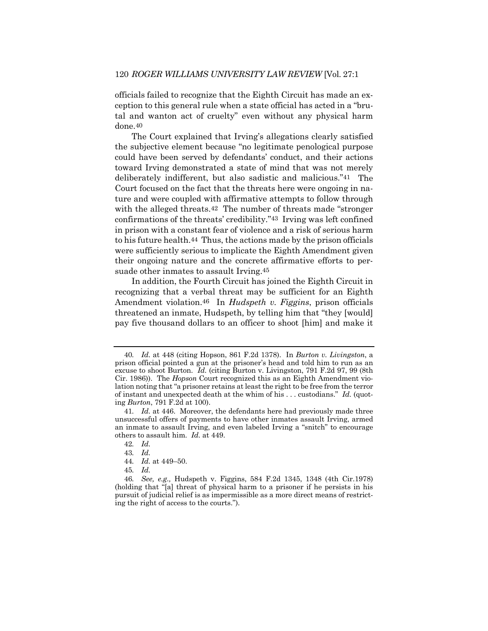officials failed to recognize that the Eighth Circuit has made an exception to this general rule when a state official has acted in a "brutal and wanton act of cruelty" even without any physical harm done.40

The Court explained that Irving's allegations clearly satisfied the subjective element because "no legitimate penological purpose could have been served by defendants' conduct, and their actions toward Irving demonstrated a state of mind that was not merely deliberately indifferent, but also sadistic and malicious."41 The Court focused on the fact that the threats here were ongoing in nature and were coupled with affirmative attempts to follow through with the alleged threats.<sup>42</sup> The number of threats made "stronger" confirmations of the threats' credibility."43 Irving was left confined in prison with a constant fear of violence and a risk of serious harm to his future health.44 Thus, the actions made by the prison officials were sufficiently serious to implicate the Eighth Amendment given their ongoing nature and the concrete affirmative efforts to persuade other inmates to assault Irving.45

In addition, the Fourth Circuit has joined the Eighth Circuit in recognizing that a verbal threat may be sufficient for an Eighth Amendment violation.46 In *Hudspeth v. Figgins*, prison officials threatened an inmate, Hudspeth, by telling him that "they [would] pay five thousand dollars to an officer to shoot [him] and make it

<sup>40</sup>*. Id.* at 448 (citing Hopson, 861 F.2d 1378). In *Burton v. Livingston*, a prison official pointed a gun at the prisoner's head and told him to run as an excuse to shoot Burton. *Id.* (citing Burton v. Livingston, 791 F.2d 97, 99 (8th Cir. 1986)). The *Hopson* Court recognized this as an Eighth Amendment violation noting that "a prisoner retains at least the right to be free from the terror of instant and unexpected death at the whim of his . . . custodians." *Id.* (quoting *Burton*, 791 F.2d at 100).

<sup>41</sup>*. Id.* at 446. Moreover, the defendants here had previously made three unsuccessful offers of payments to have other inmates assault Irving, armed an inmate to assault Irving, and even labeled Irving a "snitch" to encourage others to assault him. *Id.* at 449.

<sup>42</sup>*. Id.*

<sup>43</sup>*. Id.*

<sup>44</sup>*. Id.* at 449–50.

<sup>45</sup>*. Id.*

<sup>46</sup>*. See, e.g.,* Hudspeth v. Figgins, 584 F.2d 1345, 1348 (4th Cir.1978) (holding that "[a] threat of physical harm to a prisoner if he persists in his pursuit of judicial relief is as impermissible as a more direct means of restricting the right of access to the courts.").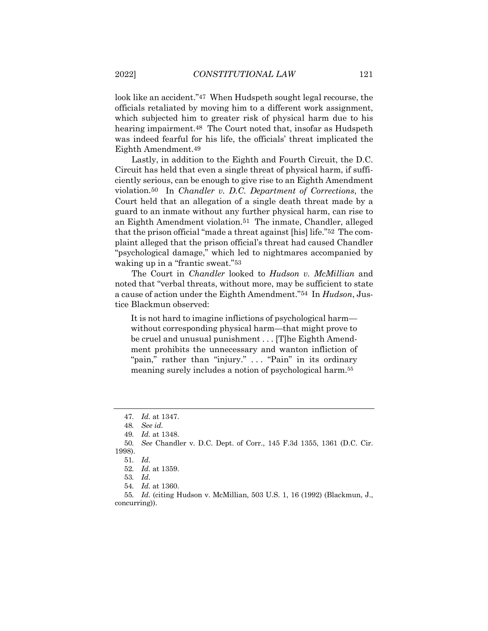look like an accident."47 When Hudspeth sought legal recourse, the officials retaliated by moving him to a different work assignment, which subjected him to greater risk of physical harm due to his hearing impairment.<sup>48</sup> The Court noted that, insofar as Hudspeth was indeed fearful for his life, the officials' threat implicated the Eighth Amendment.49

Lastly, in addition to the Eighth and Fourth Circuit, the D.C. Circuit has held that even a single threat of physical harm, if sufficiently serious, can be enough to give rise to an Eighth Amendment violation.50 In *Chandler v. D.C. Department of Corrections*, the Court held that an allegation of a single death threat made by a guard to an inmate without any further physical harm, can rise to an Eighth Amendment violation.51 The inmate, Chandler, alleged that the prison official "made a threat against [his] life."52 The complaint alleged that the prison official's threat had caused Chandler "psychological damage," which led to nightmares accompanied by waking up in a "frantic sweat."53

The Court in *Chandler* looked to *Hudson v. McMillian* and noted that "verbal threats, without more, may be sufficient to state a cause of action under the Eighth Amendment."54 In *Hudson*, Justice Blackmun observed:

It is not hard to imagine inflictions of psychological harm without corresponding physical harm—that might prove to be cruel and unusual punishment . . . [T]he Eighth Amendment prohibits the unnecessary and wanton infliction of "pain," rather than "injury." . . . "Pain" in its ordinary meaning surely includes a notion of psychological harm.55

54*. Id.* at 1360.

55*. Id.* (citing Hudson v. McMillian, 503 U.S. 1, 16 (1992) (Blackmun, J., concurring)).

<sup>47</sup>*. Id.* at 1347.

<sup>48</sup>*. See id.*

<sup>49</sup>*. Id.* at 1348.

<sup>50</sup>*. See* Chandler v. D.C. Dept. of Corr., 145 F.3d 1355, 1361 (D.C. Cir. 1998).

<sup>51</sup>*. Id.*

<sup>52</sup>*. Id.* at 1359.

<sup>53</sup>*. Id.*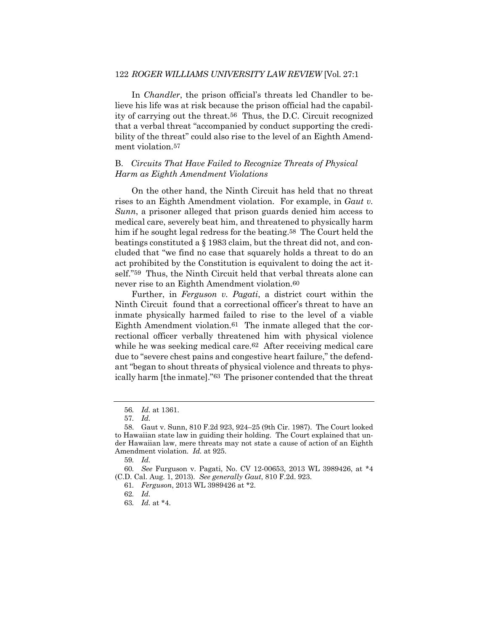#### 122 *ROGER WILLIAMS UNIVERSITY LAW REVIEW* [Vol. 27:1

In *Chandler*, the prison official's threats led Chandler to believe his life was at risk because the prison official had the capability of carrying out the threat.56 Thus, the D.C. Circuit recognized that a verbal threat "accompanied by conduct supporting the credibility of the threat" could also rise to the level of an Eighth Amendment violation.57

#### B. *Circuits That Have Failed to Recognize Threats of Physical Harm as Eighth Amendment Violations*

On the other hand, the Ninth Circuit has held that no threat rises to an Eighth Amendment violation. For example, in *Gaut v. Sunn*, a prisoner alleged that prison guards denied him access to medical care, severely beat him, and threatened to physically harm him if he sought legal redress for the beating.58 The Court held the beatings constituted a § 1983 claim, but the threat did not, and concluded that "we find no case that squarely holds a threat to do an act prohibited by the Constitution is equivalent to doing the act itself."59 Thus, the Ninth Circuit held that verbal threats alone can never rise to an Eighth Amendment violation.60

Further, in *Ferguson v. Pagati*, a district court within the Ninth Circuit found that a correctional officer's threat to have an inmate physically harmed failed to rise to the level of a viable Eighth Amendment violation.61 The inmate alleged that the correctional officer verbally threatened him with physical violence while he was seeking medical care.62 After receiving medical care due to "severe chest pains and congestive heart failure," the defendant "began to shout threats of physical violence and threats to physically harm [the inmate]."63 The prisoner contended that the threat

59*. Id.*

<sup>56</sup>*. Id.* at 1361.

<sup>57</sup>*. Id.*

<sup>58.</sup> Gaut v. Sunn, 810 F.2d 923, 924–25 (9th Cir. 1987). The Court looked to Hawaiian state law in guiding their holding. The Court explained that under Hawaiian law, mere threats may not state a cause of action of an Eighth Amendment violation. *Id.* at 925.

<sup>60</sup>*. See* Furguson v. Pagati, No. CV 12-00653, 2013 WL 3989426, at \*4 (C.D. Cal. Aug. 1, 2013). *See generally Gaut*, 810 F.2d. 923.

<sup>61</sup>*. Ferguson*, 2013 WL 3989426 at \*2.

<sup>62</sup>*. Id.*

<sup>63</sup>*. Id.* at \*4.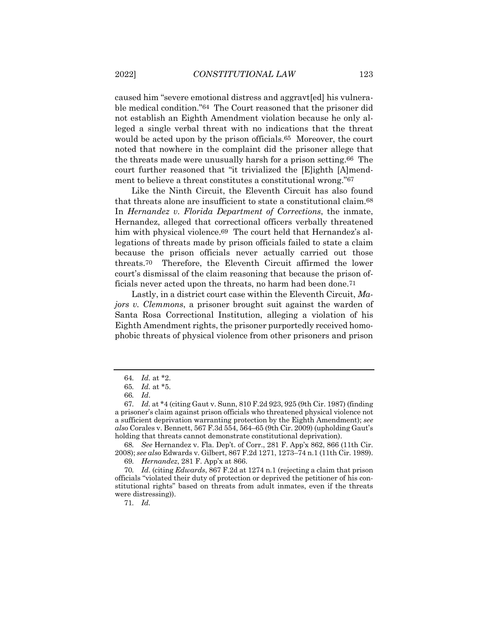caused him "severe emotional distress and aggravt[ed] his vulnerable medical condition."64 The Court reasoned that the prisoner did not establish an Eighth Amendment violation because he only alleged a single verbal threat with no indications that the threat would be acted upon by the prison officials.<sup>65</sup> Moreover, the court noted that nowhere in the complaint did the prisoner allege that the threats made were unusually harsh for a prison setting.66 The court further reasoned that "it trivialized the [E]ighth [A]mendment to believe a threat constitutes a constitutional wrong."67

Like the Ninth Circuit, the Eleventh Circuit has also found that threats alone are insufficient to state a constitutional claim.68 In *Hernandez v. Florida Department of Corrections*, the inmate, Hernandez, alleged that correctional officers verbally threatened him with physical violence.<sup>69</sup> The court held that Hernandez's allegations of threats made by prison officials failed to state a claim because the prison officials never actually carried out those threats.70 Therefore, the Eleventh Circuit affirmed the lower court's dismissal of the claim reasoning that because the prison officials never acted upon the threats, no harm had been done.71

Lastly, in a district court case within the Eleventh Circuit, *Majors v. Clemmons*, a prisoner brought suit against the warden of Santa Rosa Correctional Institution, alleging a violation of his Eighth Amendment rights, the prisoner purportedly received homophobic threats of physical violence from other prisoners and prison

68*. See* Hernandez v. Fla. Dep't. of Corr., 281 F. App'x 862, 866 (11th Cir. 2008); *see also* Edwards v. Gilbert, 867 F.2d 1271, 1273–74 n.1 (11th Cir. 1989).

69*. Hernandez*, 281 F. App'x at 866.

70*. Id*. (citing *Edwards*, 867 F.2d at 1274 n.1 (rejecting a claim that prison officials "violated their duty of protection or deprived the petitioner of his constitutional rights" based on threats from adult inmates, even if the threats were distressing)).

71*. Id.*

<sup>64</sup>*. Id.* at \*2.

<sup>65</sup>*. Id.* at \*5.

<sup>66</sup>*. Id*.

<sup>67</sup>*. Id.* at \*4 (citing Gaut v. Sunn, 810 F.2d 923, 925 (9th Cir. 1987) (finding a prisoner's claim against prison officials who threatened physical violence not a sufficient deprivation warranting protection by the Eighth Amendment); *see also* Corales v. Bennett, 567 F.3d 554, 564–65 (9th Cir. 2009) (upholding Gaut's holding that threats cannot demonstrate constitutional deprivation).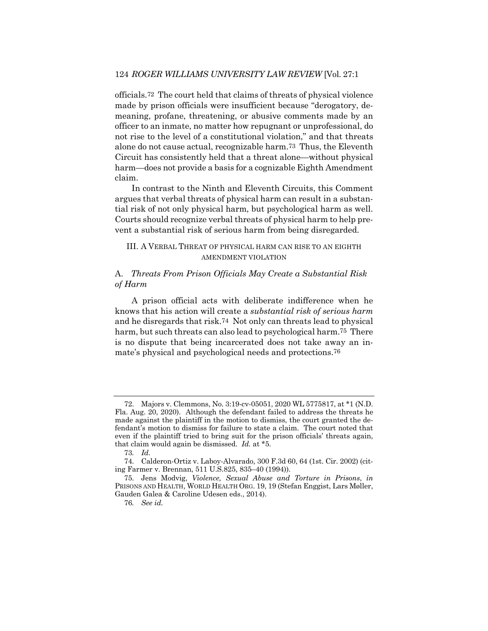officials.72 The court held that claims of threats of physical violence made by prison officials were insufficient because "derogatory, demeaning, profane, threatening, or abusive comments made by an officer to an inmate, no matter how repugnant or unprofessional, do not rise to the level of a constitutional violation," and that threats alone do not cause actual, recognizable harm.73 Thus, the Eleventh Circuit has consistently held that a threat alone—without physical harm—does not provide a basis for a cognizable Eighth Amendment claim.

In contrast to the Ninth and Eleventh Circuits, this Comment argues that verbal threats of physical harm can result in a substantial risk of not only physical harm, but psychological harm as well. Courts should recognize verbal threats of physical harm to help prevent a substantial risk of serious harm from being disregarded.

## III. A VERBAL THREAT OF PHYSICAL HARM CAN RISE TO AN EIGHTH AMENDMENT VIOLATION

## A. *Threats From Prison Officials May Create a Substantial Risk of Harm*

A prison official acts with deliberate indifference when he knows that his action will create a *substantial risk of serious harm* and he disregards that risk.74 Not only can threats lead to physical harm, but such threats can also lead to psychological harm.75 There is no dispute that being incarcerated does not take away an inmate's physical and psychological needs and protections.76

<sup>72.</sup> Majors v. Clemmons, No. 3:19-cv-05051, 2020 WL 5775817, at \*1 (N.D. Fla. Aug. 20, 2020). Although the defendant failed to address the threats he made against the plaintiff in the motion to dismiss, the court granted the defendant's motion to dismiss for failure to state a claim. The court noted that even if the plaintiff tried to bring suit for the prison officials' threats again, that claim would again be dismissed. *Id.* at \*5.

<sup>73</sup>*. Id.*

<sup>74.</sup> Calderon-Ortiz v. Laboy-Alvarado, 300 F.3d 60, 64 (1st. Cir. 2002) (citing Farmer v. Brennan, 511 U.S.825, 835–40 (1994)).

<sup>75.</sup> Jens Modvig, *Violence, Sexual Abuse and Torture in Prisons*, *in* PRISONS AND HEALTH, WORLD HEALTH ORG. 19, 19 (Stefan Enggist, Lars Møller, Gauden Galea & Caroline Udesen eds., 2014).

<sup>76</sup>*. See id.*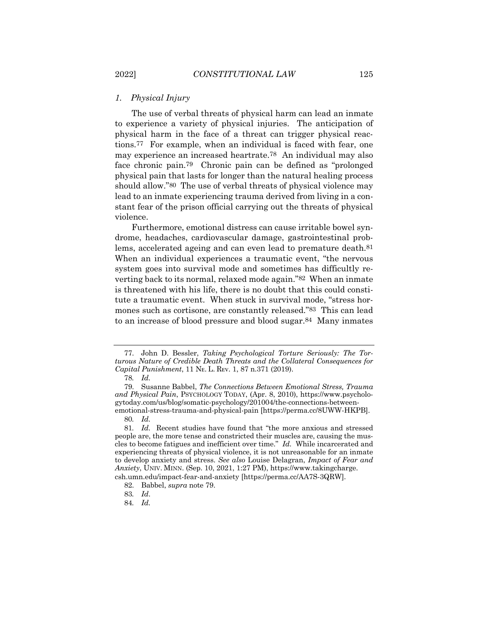## *1. Physical Injury*

The use of verbal threats of physical harm can lead an inmate to experience a variety of physical injuries. The anticipation of physical harm in the face of a threat can trigger physical reactions.77 For example, when an individual is faced with fear, one may experience an increased heartrate.78 An individual may also face chronic pain.79 Chronic pain can be defined as "prolonged physical pain that lasts for longer than the natural healing process should allow."80 The use of verbal threats of physical violence may lead to an inmate experiencing trauma derived from living in a constant fear of the prison official carrying out the threats of physical violence.

Furthermore, emotional distress can cause irritable bowel syndrome, headaches, cardiovascular damage, gastrointestinal problems, accelerated ageing and can even lead to premature death.81 When an individual experiences a traumatic event, "the nervous system goes into survival mode and sometimes has difficultly reverting back to its normal, relaxed mode again."82 When an inmate is threatened with his life, there is no doubt that this could constitute a traumatic event. When stuck in survival mode, "stress hormones such as cortisone, are constantly released."83 This can lead to an increase of blood pressure and blood sugar.84 Many inmates

<sup>77.</sup> John D. Bessler, *Taking Psychological Torture Seriously: The Torturous Nature of Credible Death Threats and the Collateral Consequences for Capital Punishment*, 11 Nᴇ. L. Rᴇᴠ. 1, 87 n.371 (2019).

<sup>78</sup>*. Id.*

<sup>79.</sup> Susanne Babbel, *The Connections Between Emotional Stress, Trauma and Physical Pain*, PSYCHOLOGY TODAY, (Apr. 8, 2010), https://www.psychologytoday.com/us/blog/somatic-psychology/201004/the-connections-betweenemotional-stress-trauma-and-physical-pain [https://perma.cc/8UWW-HKPB].

<sup>80</sup>*. Id.*

<sup>81</sup>*. Id.* Recent studies have found that "the more anxious and stressed people are, the more tense and constricted their muscles are, causing the muscles to become fatigues and inefficient over time." *Id.* While incarcerated and experiencing threats of physical violence, it is not unreasonable for an inmate to develop anxiety and stress. *See also* Louise Delagran, *Impact of Fear and Anxiety*, UNIV. MINN. (Sep. 10, 2021, 1:27 PM), https://www.takingcharge.

csh.umn.edu/impact-fear-and-anxiety [https://perma.cc/AA7S-3QRW].

<sup>82.</sup> Babbel, *supra* note 79.

<sup>83</sup>*. Id*.

<sup>84</sup>*. Id.*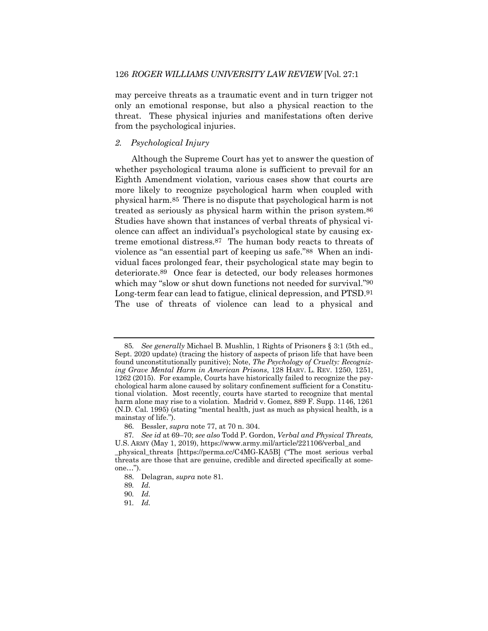may perceive threats as a traumatic event and in turn trigger not only an emotional response, but also a physical reaction to the threat. These physical injuries and manifestations often derive from the psychological injuries.

#### *2. Psychological Injury*

Although the Supreme Court has yet to answer the question of whether psychological trauma alone is sufficient to prevail for an Eighth Amendment violation, various cases show that courts are more likely to recognize psychological harm when coupled with physical harm.85 There is no dispute that psychological harm is not treated as seriously as physical harm within the prison system.86 Studies have shown that instances of verbal threats of physical violence can affect an individual's psychological state by causing extreme emotional distress.87 The human body reacts to threats of violence as "an essential part of keeping us safe."88 When an individual faces prolonged fear, their psychological state may begin to deteriorate.89 Once fear is detected, our body releases hormones which may "slow or shut down functions not needed for survival."90 Long-term fear can lead to fatigue, clinical depression, and PTSD.91 The use of threats of violence can lead to a physical and

86. Bessler, *supra* note 77, at 70 n. 304.

88. Delagran, *supra* note 81.

<sup>85</sup>*. See generally* Michael B. Mushlin, 1 Rights of Prisoners § 3:1 (5th ed., Sept. 2020 update) (tracing the history of aspects of prison life that have been found unconstitutionally punitive); Note, *The Psychology of Cruelty: Recognizing Grave Mental Harm in American Prisons*, 128 HARV. L. REV. 1250, 1251, 1262 (2015). For example, Courts have historically failed to recognize the psychological harm alone caused by solitary confinement sufficient for a Constitutional violation. Most recently, courts have started to recognize that mental harm alone may rise to a violation. Madrid v. Gomez, 889 F. Supp. 1146, 1261 (N.D. Cal. 1995) (stating "mental health, just as much as physical health, is a mainstay of life.").

<sup>87</sup>*. See id* at 69–70; *see also* Todd P. Gordon, *Verbal and Physical Threats,* U.S. ARMY (May 1, 2019), https://www.army.mil/article/221106/verbal\_and

\_physical\_threats [https://perma.cc/C4MG-KA5B] ("The most serious verbal threats are those that are genuine, credible and directed specifically at someone…").

<sup>89</sup>*. Id.*

<sup>90</sup>*. Id.*

<sup>91</sup>*. Id.*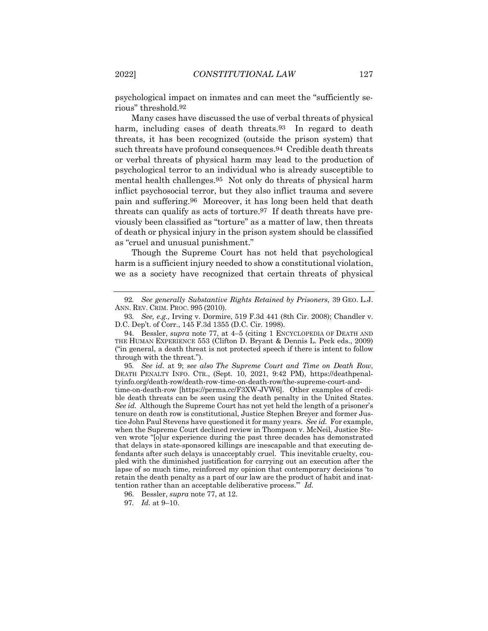psychological impact on inmates and can meet the "sufficiently serious" threshold.92

Many cases have discussed the use of verbal threats of physical harm, including cases of death threats.<sup>93</sup> In regard to death threats, it has been recognized (outside the prison system) that such threats have profound consequences.94 Credible death threats or verbal threats of physical harm may lead to the production of psychological terror to an individual who is already susceptible to mental health challenges.95 Not only do threats of physical harm inflict psychosocial terror, but they also inflict trauma and severe pain and suffering.96 Moreover, it has long been held that death threats can qualify as acts of torture.97 If death threats have previously been classified as "torture" as a matter of law, then threats of death or physical injury in the prison system should be classified as "cruel and unusual punishment."

Though the Supreme Court has not held that psychological harm is a sufficient injury needed to show a constitutional violation, we as a society have recognized that certain threats of physical

95*. See id.* at 9; *see also The Supreme Court and Time on Death Row*, DEATH PENALTY INFO. CTR., (Sept. 10, 2021, 9:42 PM), https://deathpenaltyinfo.org/death-row/death-row-time-on-death-row/the-supreme-court-andtime-on-death-row [https://perma.cc/F3XW-JVW6]. Other examples of credible death threats can be seen using the death penalty in the United States. *See id.* Although the Supreme Court has not yet held the length of a prisoner's tenure on death row is constitutional, Justice Stephen Breyer and former Justice John Paul Stevens have questioned it for many years. *See id.* For example, when the Supreme Court declined review in Thompson v. McNeil, Justice Steven wrote "[o]ur experience during the past three decades has demonstrated that delays in state-sponsored killings are inescapable and that executing defendants after such delays is unacceptably cruel. This inevitable cruelty, coupled with the diminished justification for carrying out an execution after the lapse of so much time, reinforced my opinion that contemporary decisions 'to retain the death penalty as a part of our law are the product of habit and inattention rather than an acceptable deliberative process.'" *Id.*

<sup>92</sup>*. See generally Substantive Rights Retained by Prisoners*, 39 GEO. L.J. ANN. REV. CRIM. PROC. 995 (2010).

<sup>93</sup>*. See, e.g.,* Irving v. Dormire, 519 F.3d 441 (8th Cir. 2008); Chandler v. D.C. Dep't. of Corr., 145 F.3d 1355 (D.C. Cir. 1998).

<sup>94.</sup> Bessler, *supra* note 77, at 4–5 (citing 1 ENCYCLOPEDIA OF DEATH AND THE HUMAN EXPERIENCE 553 (Clifton D. Bryant & Dennis L. Peck eds., 2009) ("in general, a death threat is not protected speech if there is intent to follow through with the threat.").

<sup>96.</sup> Bessler, *supra* note 77, at 12.

<sup>97</sup>*. Id.* at 9–10.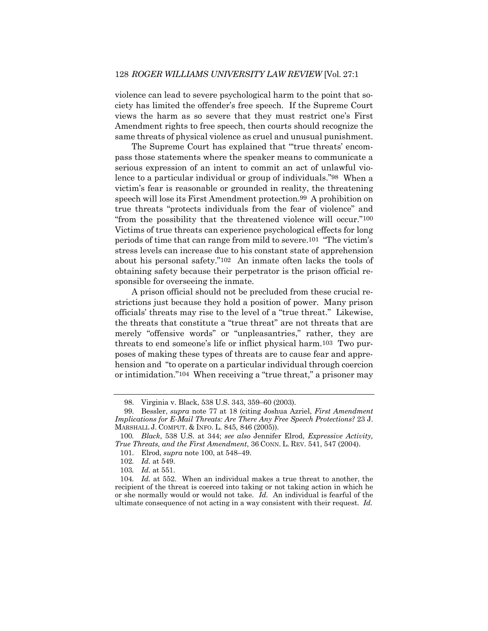violence can lead to severe psychological harm to the point that society has limited the offender's free speech. If the Supreme Court views the harm as so severe that they must restrict one's First Amendment rights to free speech, then courts should recognize the same threats of physical violence as cruel and unusual punishment.

The Supreme Court has explained that "'true threats' encompass those statements where the speaker means to communicate a serious expression of an intent to commit an act of unlawful violence to a particular individual or group of individuals."98 When a victim's fear is reasonable or grounded in reality, the threatening speech will lose its First Amendment protection.99 A prohibition on true threats "protects individuals from the fear of violence" and "from the possibility that the threatened violence will occur."100 Victims of true threats can experience psychological effects for long periods of time that can range from mild to severe.101 "The victim's stress levels can increase due to his constant state of apprehension about his personal safety."102 An inmate often lacks the tools of obtaining safety because their perpetrator is the prison official responsible for overseeing the inmate.

A prison official should not be precluded from these crucial restrictions just because they hold a position of power. Many prison officials' threats may rise to the level of a "true threat." Likewise, the threats that constitute a "true threat" are not threats that are merely "offensive words" or "unpleasantries," rather, they are threats to end someone's life or inflict physical harm.103 Two purposes of making these types of threats are to cause fear and apprehension and "to operate on a particular individual through coercion or intimidation."104 When receiving a "true threat," a prisoner may

<sup>98.</sup> Virginia v. Black, 538 U.S. 343, 359–60 (2003).

<sup>99.</sup> Bessler, *supra* note 77 at 18 (citing Joshua Azriel, *First Amendment Implications for E-Mail Threats: Are There Any Free Speech Protections?* 23 J. MARSHALL J. COMPUT. & INFO. L. 845, 846 (2005)).

<sup>100</sup>*. Black*, 538 U.S. at 344; *see also* Jennifer Elrod, *Expressive Activity, True Threats, and the First Amendment*, 36 CONN. L. REV. 541, 547 (2004).

<sup>101.</sup> Elrod, *supra* note 100, at 548–49.

<sup>102</sup>*. Id.* at 549.

<sup>103</sup>*. Id.* at 551.

<sup>104</sup>*. Id.* at 552. When an individual makes a true threat to another, the recipient of the threat is coerced into taking or not taking action in which he or she normally would or would not take. *Id.* An individual is fearful of the ultimate consequence of not acting in a way consistent with their request. *Id.*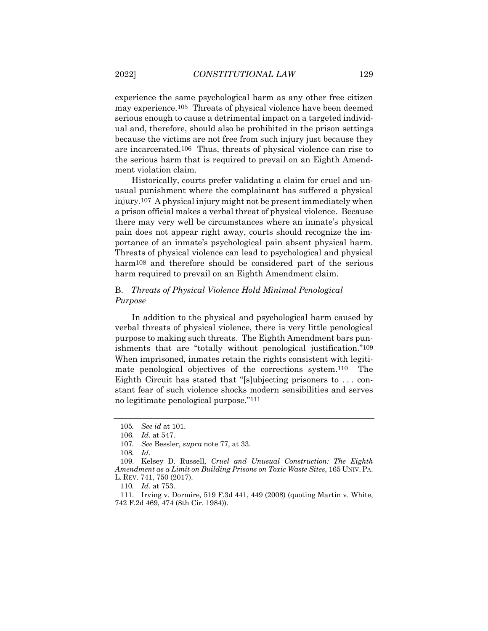experience the same psychological harm as any other free citizen may experience.105 Threats of physical violence have been deemed serious enough to cause a detrimental impact on a targeted individual and, therefore, should also be prohibited in the prison settings because the victims are not free from such injury just because they are incarcerated.106 Thus, threats of physical violence can rise to the serious harm that is required to prevail on an Eighth Amendment violation claim.

Historically, courts prefer validating a claim for cruel and unusual punishment where the complainant has suffered a physical injury.107 A physical injury might not be present immediately when a prison official makes a verbal threat of physical violence. Because there may very well be circumstances where an inmate's physical pain does not appear right away, courts should recognize the importance of an inmate's psychological pain absent physical harm. Threats of physical violence can lead to psychological and physical harm<sup>108</sup> and therefore should be considered part of the serious harm required to prevail on an Eighth Amendment claim.

## B. *Threats of Physical Violence Hold Minimal Penological Purpose*

In addition to the physical and psychological harm caused by verbal threats of physical violence, there is very little penological purpose to making such threats. The Eighth Amendment bars punishments that are "totally without penological justification."109 When imprisoned, inmates retain the rights consistent with legitimate penological objectives of the corrections system.110 The Eighth Circuit has stated that "[s]ubjecting prisoners to . . . constant fear of such violence shocks modern sensibilities and serves no legitimate penological purpose."111

<sup>105</sup>*. See id* at 101.

<sup>106</sup>*. Id.* at 547.

<sup>107</sup>*. See* Bessler, *supra* note 77, at 33.

<sup>108</sup>*. Id.*

<sup>109.</sup> Kelsey D. Russell, *Cruel and Unusual Construction: The Eighth Amendment as a Limit on Building Prisons on Toxic Waste Sites*, 165 UNIV. PA. L. REV. 741, 750 (2017).

<sup>110</sup>*. Id.* at 753.

<sup>111.</sup> Irving v. Dormire*,* 519 F.3d 441, 449 (2008) (quoting Martin v. White, 742 F.2d 469, 474 (8th Cir. 1984)).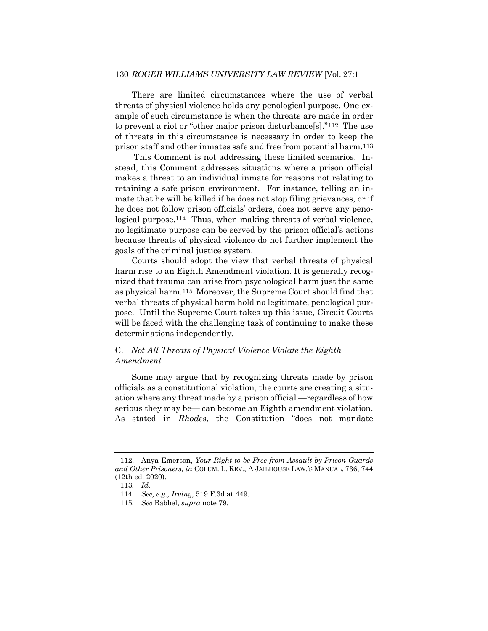#### 130 *ROGER WILLIAMS UNIVERSITY LAW REVIEW* [Vol. 27:1

There are limited circumstances where the use of verbal threats of physical violence holds any penological purpose. One example of such circumstance is when the threats are made in order to prevent a riot or "other major prison disturbance[s]."112 The use of threats in this circumstance is necessary in order to keep the prison staff and other inmates safe and free from potential harm.113

This Comment is not addressing these limited scenarios. Instead, this Comment addresses situations where a prison official makes a threat to an individual inmate for reasons not relating to retaining a safe prison environment. For instance, telling an inmate that he will be killed if he does not stop filing grievances, or if he does not follow prison officials' orders, does not serve any penological purpose.114 Thus, when making threats of verbal violence, no legitimate purpose can be served by the prison official's actions because threats of physical violence do not further implement the goals of the criminal justice system.

Courts should adopt the view that verbal threats of physical harm rise to an Eighth Amendment violation. It is generally recognized that trauma can arise from psychological harm just the same as physical harm.115 Moreover, the Supreme Court should find that verbal threats of physical harm hold no legitimate, penological purpose. Until the Supreme Court takes up this issue, Circuit Courts will be faced with the challenging task of continuing to make these determinations independently.

### C. *Not All Threats of Physical Violence Violate the Eighth Amendment*

Some may argue that by recognizing threats made by prison officials as a constitutional violation, the courts are creating a situation where any threat made by a prison official —regardless of how serious they may be— can become an Eighth amendment violation. As stated in *Rhodes*, the Constitution "does not mandate

<sup>112.</sup> Anya Emerson, *Your Right to be Free from Assault by Prison Guards and Other Prisoners, in* COLUM. L. REV., A JAILHOUSE LAW.'S MANUAL, 736, 744 (12th ed. 2020).

<sup>113</sup>*. Id.*

<sup>114</sup>*. See, e.g., Irving*, 519 F.3d at 449.

<sup>115</sup>*. See* Babbel, *supra* note 79.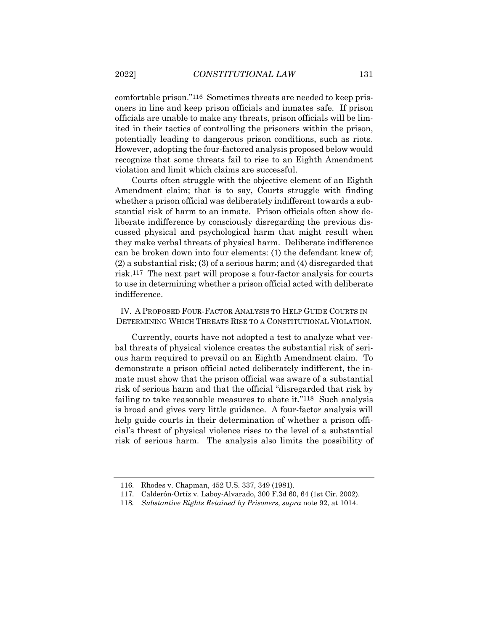comfortable prison."116 Sometimes threats are needed to keep prisoners in line and keep prison officials and inmates safe. If prison officials are unable to make any threats, prison officials will be limited in their tactics of controlling the prisoners within the prison, potentially leading to dangerous prison conditions, such as riots. However, adopting the four-factored analysis proposed below would recognize that some threats fail to rise to an Eighth Amendment violation and limit which claims are successful.

Courts often struggle with the objective element of an Eighth Amendment claim; that is to say, Courts struggle with finding whether a prison official was deliberately indifferent towards a substantial risk of harm to an inmate. Prison officials often show deliberate indifference by consciously disregarding the previous discussed physical and psychological harm that might result when they make verbal threats of physical harm. Deliberate indifference can be broken down into four elements: (1) the defendant knew of; (2) a substantial risk; (3) of a serious harm; and (4) disregarded that risk.117 The next part will propose a four-factor analysis for courts to use in determining whether a prison official acted with deliberate indifference.

IV. A PROPOSED FOUR-FACTOR ANALYSIS TO HELP GUIDE COURTS IN DETERMINING WHICH THREATS RISE TO A CONSTITUTIONAL VIOLATION.

Currently, courts have not adopted a test to analyze what verbal threats of physical violence creates the substantial risk of serious harm required to prevail on an Eighth Amendment claim. To demonstrate a prison official acted deliberately indifferent, the inmate must show that the prison official was aware of a substantial risk of serious harm and that the official "disregarded that risk by failing to take reasonable measures to abate it."118 Such analysis is broad and gives very little guidance. A four-factor analysis will help guide courts in their determination of whether a prison official's threat of physical violence rises to the level of a substantial risk of serious harm. The analysis also limits the possibility of

<sup>116.</sup> Rhodes v. Chapman, 452 U.S. 337, 349 (1981).

<sup>117.</sup> Calderón-Ortíz v. Laboy-Alvarado, 300 F.3d 60, 64 (1st Cir. 2002).

<sup>118</sup>*. Substantive Rights Retained by Prisoners*, *supra* note 92, at 1014.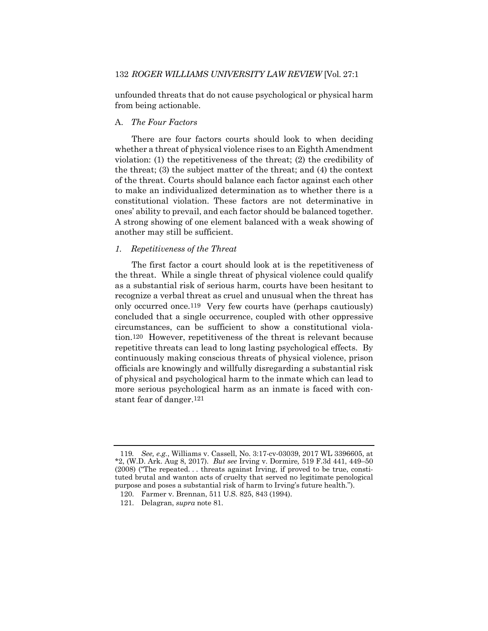unfounded threats that do not cause psychological or physical harm from being actionable.

#### A. *The Four Factors*

There are four factors courts should look to when deciding whether a threat of physical violence rises to an Eighth Amendment violation: (1) the repetitiveness of the threat; (2) the credibility of the threat; (3) the subject matter of the threat; and (4) the context of the threat. Courts should balance each factor against each other to make an individualized determination as to whether there is a constitutional violation. These factors are not determinative in ones' ability to prevail, and each factor should be balanced together. A strong showing of one element balanced with a weak showing of another may still be sufficient.

#### *1. Repetitiveness of the Threat*

The first factor a court should look at is the repetitiveness of the threat. While a single threat of physical violence could qualify as a substantial risk of serious harm, courts have been hesitant to recognize a verbal threat as cruel and unusual when the threat has only occurred once.119 Very few courts have (perhaps cautiously) concluded that a single occurrence, coupled with other oppressive circumstances, can be sufficient to show a constitutional violation.120 However, repetitiveness of the threat is relevant because repetitive threats can lead to long lasting psychological effects. By continuously making conscious threats of physical violence, prison officials are knowingly and willfully disregarding a substantial risk of physical and psychological harm to the inmate which can lead to more serious psychological harm as an inmate is faced with constant fear of danger.121

<sup>119</sup>*. See, e.g.*, Williams v. Cassell, No. 3:17-cv-03039, 2017 WL 3396605, at \*2, (W.D. Ark. Aug 8, 2017). *But see* Irving v. Dormire*,* 519 F.3d 441, 449–50 (2008) ("The repeated. . . threats against Irving, if proved to be true, constituted brutal and wanton acts of cruelty that served no legitimate penological purpose and poses a substantial risk of harm to Irving's future health.").

<sup>120.</sup> Farmer v. Brennan, 511 U.S. 825, 843 (1994).

<sup>121.</sup> Delagran, *supra* note 81.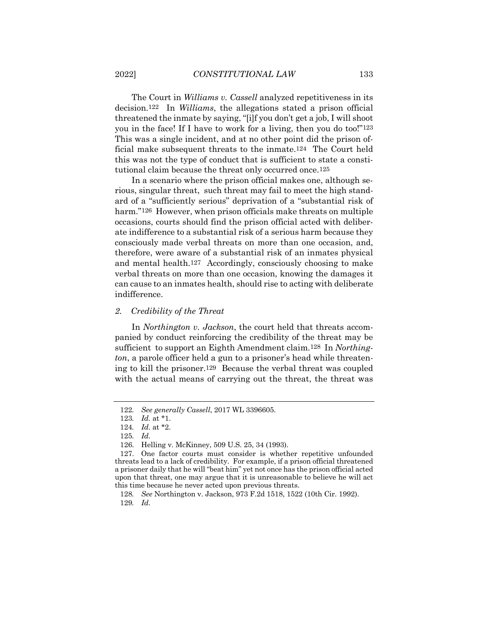The Court in *Williams v. Cassell* analyzed repetitiveness in its decision.122 In *Williams*, the allegations stated a prison official threatened the inmate by saying, "[i]f you don't get a job, I will shoot you in the face! If I have to work for a living, then you do too!"123 This was a single incident, and at no other point did the prison official make subsequent threats to the inmate.124 The Court held this was not the type of conduct that is sufficient to state a constitutional claim because the threat only occurred once.125

In a scenario where the prison official makes one, although serious, singular threat, such threat may fail to meet the high standard of a "sufficiently serious" deprivation of a "substantial risk of harm."<sup>126</sup> However, when prison officials make threats on multiple occasions, courts should find the prison official acted with deliberate indifference to a substantial risk of a serious harm because they consciously made verbal threats on more than one occasion, and, therefore, were aware of a substantial risk of an inmates physical and mental health.127 Accordingly, consciously choosing to make verbal threats on more than one occasion, knowing the damages it can cause to an inmates health, should rise to acting with deliberate indifference.

#### *2. Credibility of the Threat*

In *Northington v. Jackson*, the court held that threats accompanied by conduct reinforcing the credibility of the threat may be sufficient to support an Eighth Amendment claim.128 In *Northington*, a parole officer held a gun to a prisoner's head while threatening to kill the prisoner.129 Because the verbal threat was coupled with the actual means of carrying out the threat, the threat was

<sup>122</sup>*. See generally Cassell*, 2017 WL 3396605.

<sup>123</sup>*. Id.* at \*1.

<sup>124</sup>*. Id.* at \*2.

<sup>125</sup>*. Id.*

<sup>126.</sup> Helling v. McKinney, 509 U.S. 25, 34 (1993).

<sup>127.</sup> One factor courts must consider is whether repetitive unfounded threats lead to a lack of credibility. For example, if a prison official threatened a prisoner daily that he will "beat him" yet not once has the prison official acted upon that threat, one may argue that it is unreasonable to believe he will act this time because he never acted upon previous threats.

<sup>128</sup>*. See* Northington v. Jackson, 973 F.2d 1518, 1522 (10th Cir. 1992). 129*. Id.*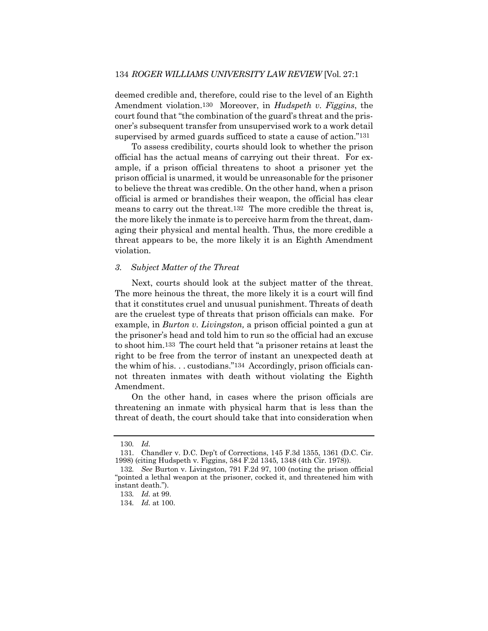deemed credible and, therefore, could rise to the level of an Eighth Amendment violation.130 Moreover, in *Hudspeth v. Figgins*, the court found that "the combination of the guard's threat and the prisoner's subsequent transfer from unsupervised work to a work detail supervised by armed guards sufficed to state a cause of action."131

To assess credibility, courts should look to whether the prison official has the actual means of carrying out their threat. For example, if a prison official threatens to shoot a prisoner yet the prison official is unarmed, it would be unreasonable for the prisoner to believe the threat was credible. On the other hand, when a prison official is armed or brandishes their weapon, the official has clear means to carry out the threat.132 The more credible the threat is, the more likely the inmate is to perceive harm from the threat, damaging their physical and mental health. Thus, the more credible a threat appears to be, the more likely it is an Eighth Amendment violation.

#### *3. Subject Matter of the Threat*

Next, courts should look at the subject matter of the threat. The more heinous the threat, the more likely it is a court will find that it constitutes cruel and unusual punishment. Threats of death are the cruelest type of threats that prison officials can make. For example, in *Burton v. Livingston,* a prison official pointed a gun at the prisoner's head and told him to run so the official had an excuse to shoot him.133 The court held that "a prisoner retains at least the right to be free from the terror of instant an unexpected death at the whim of his. . . custodians."134 Accordingly, prison officials cannot threaten inmates with death without violating the Eighth Amendment.

On the other hand, in cases where the prison officials are threatening an inmate with physical harm that is less than the threat of death, the court should take that into consideration when

<sup>130</sup>*. Id.*

<sup>131.</sup> Chandler v. D.C. Dep't of Corrections, 145 F.3d 1355, 1361 (D.C. Cir. 1998) (citing Hudspeth v. Figgins, 584 F.2d 1345, 1348 (4th Cir. 1978)).

<sup>132</sup>*. See* Burton v. Livingston, 791 F.2d 97, 100 (noting the prison official "pointed a lethal weapon at the prisoner, cocked it, and threatened him with instant death.").

<sup>133</sup>*. Id.* at 99.

<sup>134</sup>*. Id.* at 100.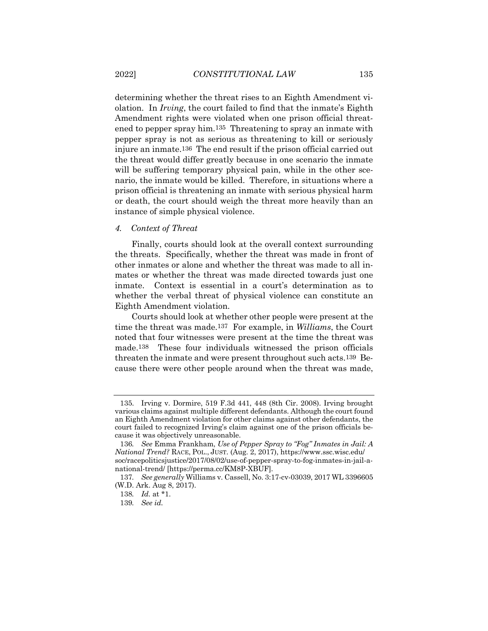determining whether the threat rises to an Eighth Amendment violation. In *Irving*, the court failed to find that the inmate's Eighth Amendment rights were violated when one prison official threatened to pepper spray him.135 Threatening to spray an inmate with pepper spray is not as serious as threatening to kill or seriously injure an inmate.136 The end result if the prison official carried out the threat would differ greatly because in one scenario the inmate will be suffering temporary physical pain, while in the other scenario, the inmate would be killed. Therefore, in situations where a prison official is threatening an inmate with serious physical harm or death, the court should weigh the threat more heavily than an instance of simple physical violence.

#### *4. Context of Threat*

Finally, courts should look at the overall context surrounding the threats. Specifically, whether the threat was made in front of other inmates or alone and whether the threat was made to all inmates or whether the threat was made directed towards just one inmate. Context is essential in a court's determination as to whether the verbal threat of physical violence can constitute an Eighth Amendment violation.

Courts should look at whether other people were present at the time the threat was made.137 For example, in *Williams*, the Court noted that four witnesses were present at the time the threat was made.138 These four individuals witnessed the prison officials threaten the inmate and were present throughout such acts.139 Because there were other people around when the threat was made,

<sup>135.</sup> Irving v. Dormire, 519 F.3d 441, 448 (8th Cir. 2008). Irving brought various claims against multiple different defendants. Although the court found an Eighth Amendment violation for other claims against other defendants, the court failed to recognized Irving's claim against one of the prison officials because it was objectively unreasonable.

<sup>136</sup>*. See* Emma Frankham, *Use of Pepper Spray to "Fog" Inmates in Jail: A National Trend?* RACE, POL., JUST. (Aug. 2, 2017), https://www.ssc.wisc.edu/ soc/racepoliticsjustice/2017/08/02/use-of-pepper-spray-to-fog-inmates-in-jail-anational-trend/ [https://perma.cc/KM8P-XBUF].

<sup>137</sup>*. See generally* Williams v. Cassell, No. 3:17-cv-03039, 2017 WL 3396605 (W.D. Ark. Aug 8, 2017).

<sup>138</sup>*. Id.* at \*1.

<sup>139</sup>*. See id.*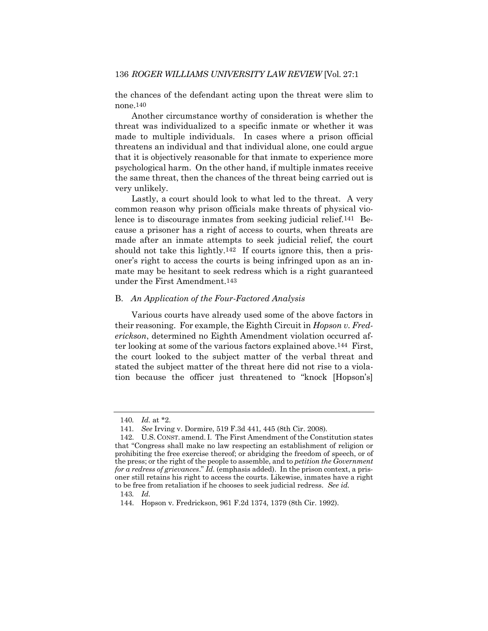the chances of the defendant acting upon the threat were slim to none.140

Another circumstance worthy of consideration is whether the threat was individualized to a specific inmate or whether it was made to multiple individuals. In cases where a prison official threatens an individual and that individual alone, one could argue that it is objectively reasonable for that inmate to experience more psychological harm. On the other hand, if multiple inmates receive the same threat, then the chances of the threat being carried out is very unlikely.

Lastly, a court should look to what led to the threat. A very common reason why prison officials make threats of physical violence is to discourage inmates from seeking judicial relief.141 Because a prisoner has a right of access to courts, when threats are made after an inmate attempts to seek judicial relief, the court should not take this lightly.142 If courts ignore this, then a prisoner's right to access the courts is being infringed upon as an inmate may be hesitant to seek redress which is a right guaranteed under the First Amendment.143

#### B. *An Application of the Four-Factored Analysis*

Various courts have already used some of the above factors in their reasoning. For example, the Eighth Circuit in *Hopson v. Frederickson*, determined no Eighth Amendment violation occurred after looking at some of the various factors explained above.144 First, the court looked to the subject matter of the verbal threat and stated the subject matter of the threat here did not rise to a violation because the officer just threatened to "knock [Hopson's]

<sup>140</sup>*. Id.* at \*2.

<sup>141</sup>*. See* Irving v. Dormire, 519 F.3d 441, 445 (8th Cir. 2008)*.*

<sup>142.</sup> U.S. CONST. amend. I. The First Amendment of the Constitution states that "Congress shall make no law respecting an establishment of religion or prohibiting the free exercise thereof; or abridging the freedom of speech, or of the press; or the right of the people to assemble, and to *petition the Government for a redress of grievances*." *Id.* (emphasis added). In the prison context, a prisoner still retains his right to access the courts. Likewise, inmates have a right to be free from retaliation if he chooses to seek judicial redress. *See id.*

<sup>143</sup>*. Id.*

<sup>144.</sup> Hopson v. Fredrickson, 961 F.2d 1374, 1379 (8th Cir. 1992).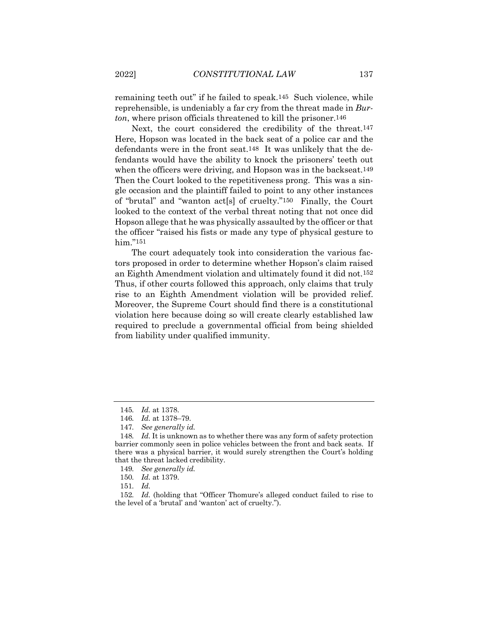remaining teeth out" if he failed to speak.145 Such violence, while reprehensible, is undeniably a far cry from the threat made in *Burton*, where prison officials threatened to kill the prisoner.146

Next, the court considered the credibility of the threat.147 Here, Hopson was located in the back seat of a police car and the defendants were in the front seat.148 It was unlikely that the defendants would have the ability to knock the prisoners' teeth out when the officers were driving, and Hopson was in the backseat.<sup>149</sup> Then the Court looked to the repetitiveness prong. This was a single occasion and the plaintiff failed to point to any other instances of "brutal" and "wanton act[s] of cruelty."150 Finally, the Court looked to the context of the verbal threat noting that not once did Hopson allege that he was physically assaulted by the officer or that the officer "raised his fists or made any type of physical gesture to him."151

The court adequately took into consideration the various factors proposed in order to determine whether Hopson's claim raised an Eighth Amendment violation and ultimately found it did not.152 Thus, if other courts followed this approach, only claims that truly rise to an Eighth Amendment violation will be provided relief. Moreover, the Supreme Court should find there is a constitutional violation here because doing so will create clearly established law required to preclude a governmental official from being shielded from liability under qualified immunity.

<sup>145</sup>*. Id.* at 1378.

<sup>146</sup>*. Id.* at 1378–79.

<sup>147</sup>*. See generally id.*

<sup>148</sup>*. Id.* It is unknown as to whether there was any form of safety protection barrier commonly seen in police vehicles between the front and back seats. If there was a physical barrier, it would surely strengthen the Court's holding that the threat lacked credibility.

<sup>149</sup>*. See generally id.*

<sup>150</sup>*. Id.* at 1379.

<sup>151</sup>*. Id.*

<sup>152</sup>*. Id.* (holding that "Officer Thomure's alleged conduct failed to rise to the level of a 'brutal' and 'wanton' act of cruelty.").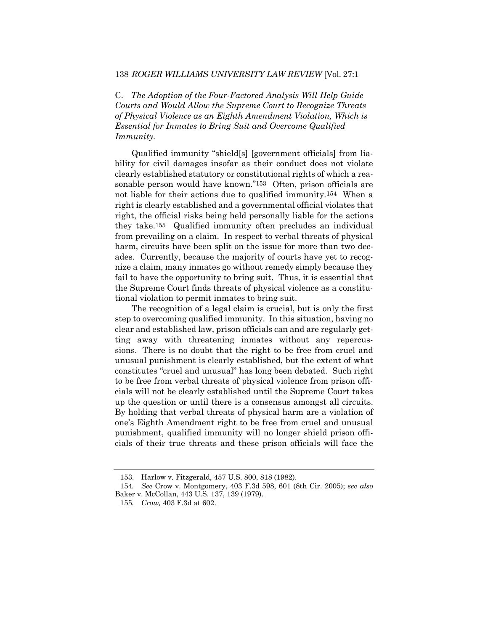#### 138 *ROGER WILLIAMS UNIVERSITY LAW REVIEW* [Vol. 27:1

C. *The Adoption of the Four-Factored Analysis Will Help Guide Courts and Would Allow the Supreme Court to Recognize Threats of Physical Violence as an Eighth Amendment Violation, Which is Essential for Inmates to Bring Suit and Overcome Qualified Immunity.*

Qualified immunity "shield[s] [government officials] from liability for civil damages insofar as their conduct does not violate clearly established statutory or constitutional rights of which a reasonable person would have known."153 Often, prison officials are not liable for their actions due to qualified immunity.154 When a right is clearly established and a governmental official violates that right, the official risks being held personally liable for the actions they take.155 Qualified immunity often precludes an individual from prevailing on a claim. In respect to verbal threats of physical harm, circuits have been split on the issue for more than two decades. Currently, because the majority of courts have yet to recognize a claim, many inmates go without remedy simply because they fail to have the opportunity to bring suit. Thus, it is essential that the Supreme Court finds threats of physical violence as a constitutional violation to permit inmates to bring suit.

The recognition of a legal claim is crucial, but is only the first step to overcoming qualified immunity. In this situation, having no clear and established law, prison officials can and are regularly getting away with threatening inmates without any repercussions. There is no doubt that the right to be free from cruel and unusual punishment is clearly established, but the extent of what constitutes "cruel and unusual" has long been debated. Such right to be free from verbal threats of physical violence from prison officials will not be clearly established until the Supreme Court takes up the question or until there is a consensus amongst all circuits. By holding that verbal threats of physical harm are a violation of one's Eighth Amendment right to be free from cruel and unusual punishment, qualified immunity will no longer shield prison officials of their true threats and these prison officials will face the

<sup>153.</sup> Harlow v. Fitzgerald, 457 U.S. 800, 818 (1982).

<sup>154</sup>*. See* Crow v. Montgomery, 403 F.3d 598, 601 (8th Cir. 2005); *see also* Baker v. McCollan, 443 U.S. 137, 139 (1979).

<sup>155</sup>*. Crow,* 403 F.3d at 602.